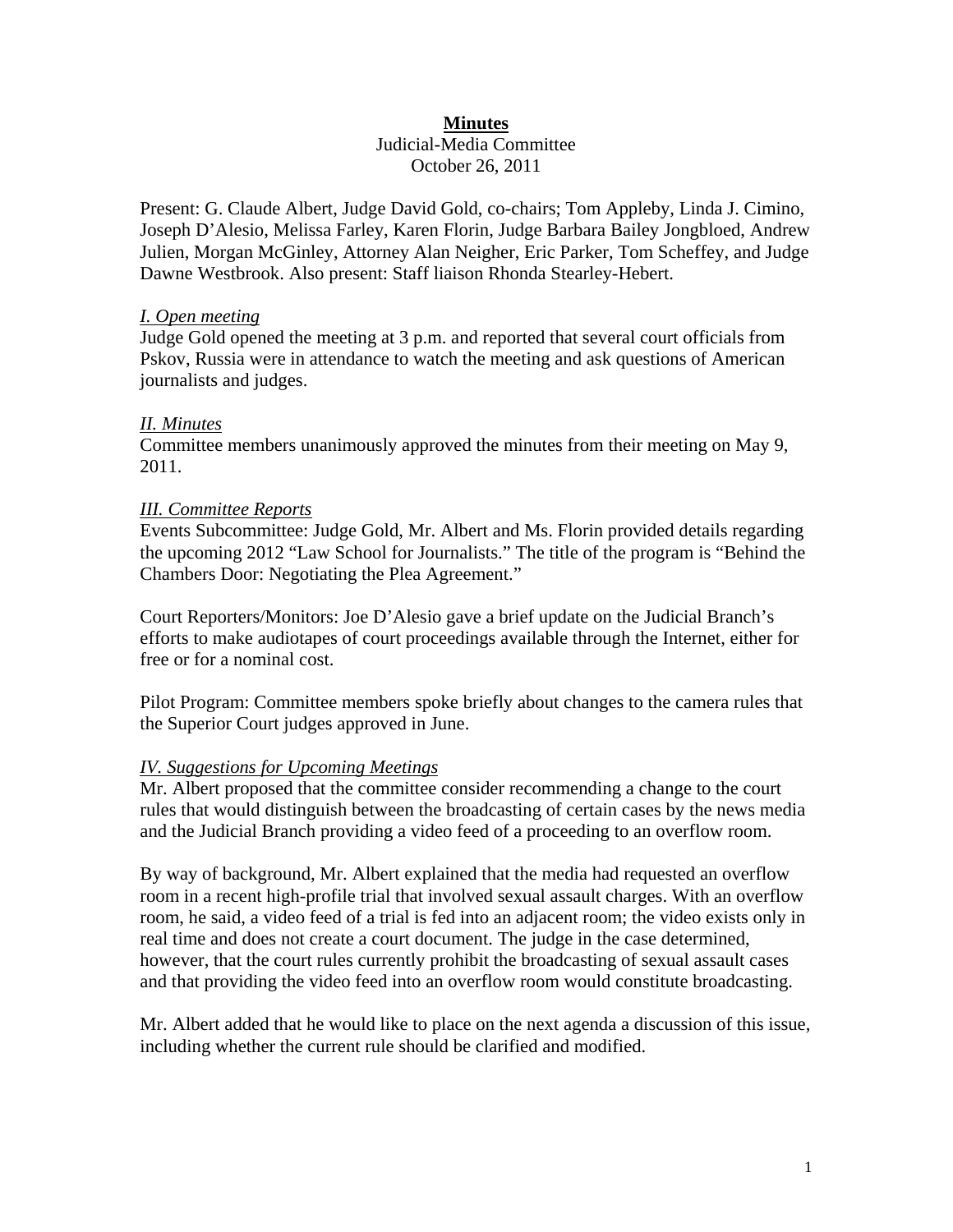## **Minutes**

# Judicial-Media Committee October 26, 2011

Present: G. Claude Albert, Judge David Gold, co-chairs; Tom Appleby, Linda J. Cimino, Joseph D'Alesio, Melissa Farley, Karen Florin, Judge Barbara Bailey Jongbloed, Andrew Julien, Morgan McGinley, Attorney Alan Neigher, Eric Parker, Tom Scheffey, and Judge Dawne Westbrook. Also present: Staff liaison Rhonda Stearley-Hebert.

## *I. Open meeting*

Judge Gold opened the meeting at 3 p.m. and reported that several court officials from Pskov, Russia were in attendance to watch the meeting and ask questions of American journalists and judges.

## *II. Minutes*

Committee members unanimously approved the minutes from their meeting on May 9, 2011.

#### *III. Committee Reports*

Events Subcommittee: Judge Gold, Mr. Albert and Ms. Florin provided details regarding the upcoming 2012 "Law School for Journalists." The title of the program is "Behind the Chambers Door: Negotiating the Plea Agreement."

Court Reporters/Monitors: Joe D'Alesio gave a brief update on the Judicial Branch's efforts to make audiotapes of court proceedings available through the Internet, either for free or for a nominal cost.

Pilot Program: Committee members spoke briefly about changes to the camera rules that the Superior Court judges approved in June.

## *IV. Suggestions for Upcoming Meetings*

Mr. Albert proposed that the committee consider recommending a change to the court rules that would distinguish between the broadcasting of certain cases by the news media and the Judicial Branch providing a video feed of a proceeding to an overflow room.

By way of background, Mr. Albert explained that the media had requested an overflow room in a recent high-profile trial that involved sexual assault charges. With an overflow room, he said, a video feed of a trial is fed into an adjacent room; the video exists only in real time and does not create a court document. The judge in the case determined, however, that the court rules currently prohibit the broadcasting of sexual assault cases and that providing the video feed into an overflow room would constitute broadcasting.

Mr. Albert added that he would like to place on the next agenda a discussion of this issue, including whether the current rule should be clarified and modified.